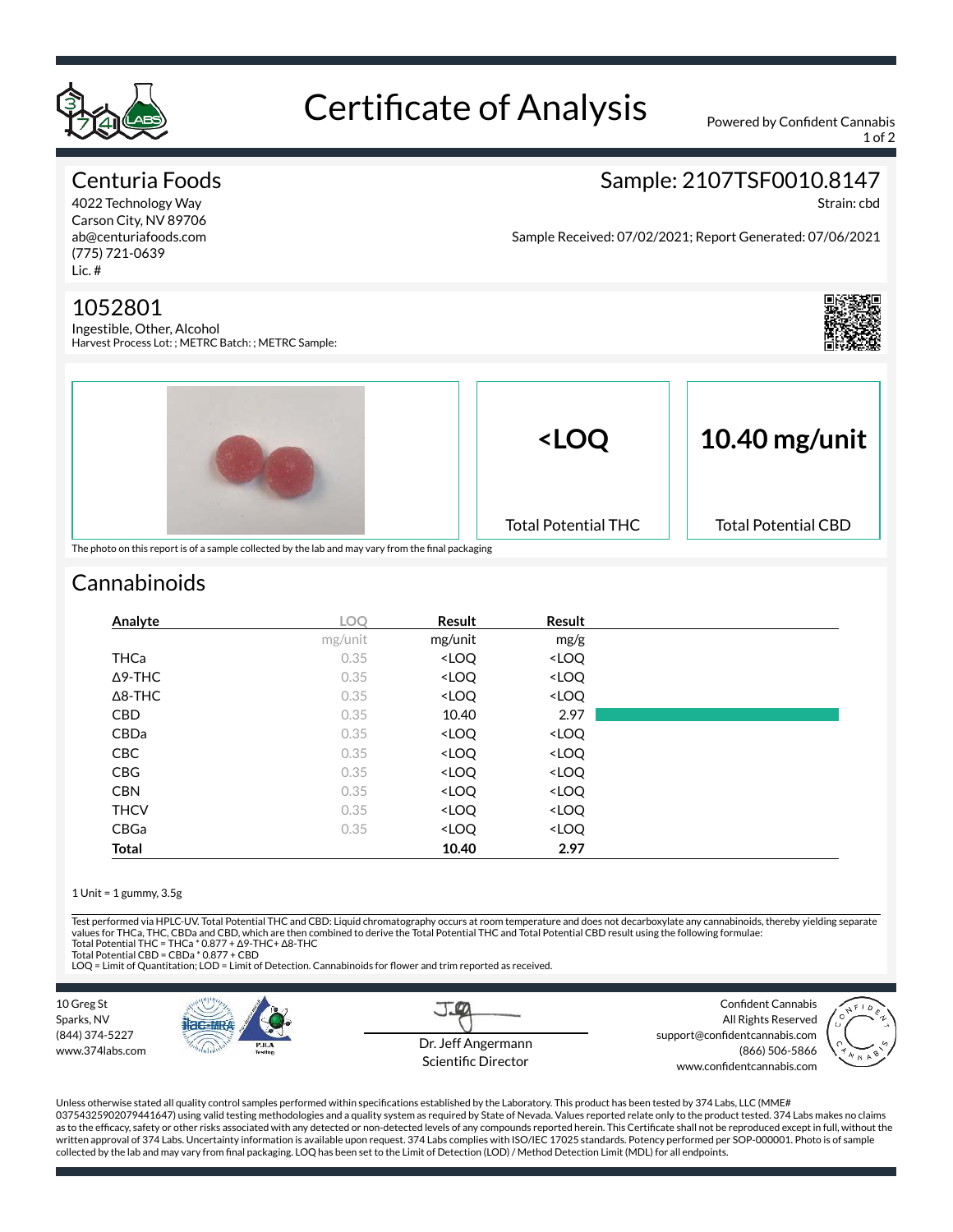

# Certificate of Analysis Powered by Confident Cannabis

1 of 2

#### Centuria Foods

4022 Technology Way Carson City, NV 89706 ab@centuriafoods.com (775) 721-0639 Lic. #

#### 1052801

Ingestible, Other, Alcohol Harvest Process Lot: ; METRC Batch: ; METRC Sample:



Strain: cbd

Sample Received: 07/02/2021; Report Generated: 07/06/2021





## **Cannabinoids**

| Analyte        | <b>LOO</b> | Result                                                   | Result                       |  |
|----------------|------------|----------------------------------------------------------|------------------------------|--|
|                | mg/unit    | mg/unit                                                  | mg/g                         |  |
| <b>THCa</b>    | 0.35       | <loq< td=""><td><loq< td=""><td></td></loq<></td></loq<> | <loq< td=""><td></td></loq<> |  |
| $\Delta$ 9-THC | 0.35       | <loq< td=""><td><loq< td=""><td></td></loq<></td></loq<> | <loq< td=""><td></td></loq<> |  |
| $\Delta$ 8-THC | 0.35       | <loq< td=""><td><loq< td=""><td></td></loq<></td></loq<> | <loq< td=""><td></td></loq<> |  |
| <b>CBD</b>     | 0.35       | 10.40                                                    | 2.97                         |  |
| CBDa           | 0.35       | <loq< td=""><td><loq< td=""><td></td></loq<></td></loq<> | <loq< td=""><td></td></loq<> |  |
| <b>CBC</b>     | 0.35       | <loq< td=""><td><loq< td=""><td></td></loq<></td></loq<> | <loq< td=""><td></td></loq<> |  |
| <b>CBG</b>     | 0.35       | <loq< td=""><td><loq< td=""><td></td></loq<></td></loq<> | <loq< td=""><td></td></loq<> |  |
| <b>CBN</b>     | 0.35       | <loq< td=""><td><loq< td=""><td></td></loq<></td></loq<> | <loq< td=""><td></td></loq<> |  |
| <b>THCV</b>    | 0.35       | <loq< td=""><td><loq< td=""><td></td></loq<></td></loq<> | <loq< td=""><td></td></loq<> |  |
| CBGa           | 0.35       | <loq< td=""><td><loq< td=""><td></td></loq<></td></loq<> | <loq< td=""><td></td></loq<> |  |
| Total          |            | 10.40                                                    | 2.97                         |  |

#### 1 Unit = 1 gummy, 3.5g

Test performed via HPLC-UV. Total Potential THC and CBD: Liquid chromatography occurs at room temperature and does not decarboxylate any cannabinoids, thereby yielding separate values for THCa, THC, CBDa and CBD, which are then combined to derive the Total Potential THC and Total Potential CBD result using the following formulae:<br>Total Potential THC = THCa \* 0.877 + Δ9-THC+ Δ8-THC

Total Potential CBD = CBDa \* 0.877 + CBD

LOQ = Limit of Quantitation; LOD = Limit of Detection. Cannabinoids for flower and trim reported as received.



Unless otherwise stated all quality control samples performed within specifications established by the Laboratory. This product has been tested by 374 Labs, LLC (MME# 03754325902079441647) using valid testing methodologies and a quality system as required by State of Nevada. Values reported relate only to the product tested. 374 Labs makes no claims as to the efficacy, safety or other risks associated with any detected or non-detected levels of any compounds reported herein. This Certificate shall not be reproduced except in full, without the written approval of 374 Labs. Uncertainty information is available upon request. 374 Labs complies with ISO/IEC 17025 standards. Potency performed per SOP-000001. Photo is of sample collected by the lab and may vary from final packaging. LOQ has been set to the Limit of Detection (LOD) / Method Detection Limit (MDL) for all endpoints.